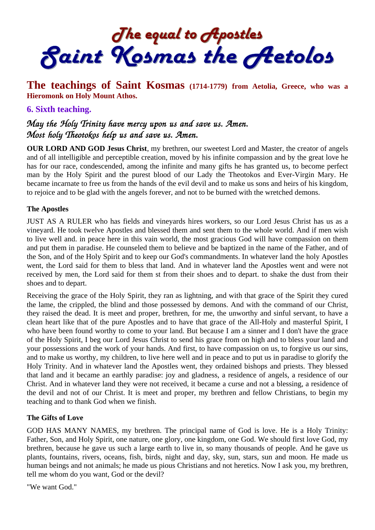The equal to Apostles<br>Saint Kosmas the Aetolos

## **The teachings of Saint Kosmas (1714-1779) from Aetolia, Greece, who was a Hieromonk on Holy Mount Athos.**

## **6. Sixth teaching.**

# May the Holy Trinity have mercy upon us and save us. Amen. Most holy Theotokos help us and save us. Amen.

**OUR LORD AND GOD Jesus Christ**, my brethren, our sweetest Lord and Master, the creator of angels and of all intelligible and perceptible creation, moved by his infinite compassion and by the great love he has for our race, condescended, among the infinite and many gifts he has granted us, to become perfect man by the Holy Spirit and the purest blood of our Lady the Theotokos and Ever-Virgin Mary. He became incarnate to free us from the hands of the evil devil and to make us sons and heirs of his kingdom, to rejoice and to be glad with the angels forever, and not to be burned with the wretched demons.

#### **The Apostles**

JUST AS A RULER who has fields and vineyards hires workers, so our Lord Jesus Christ has us as a vineyard. He took twelve Apostles and blessed them and sent them to the whole world. And if men wish to live well and. in peace here in this vain world, the most gracious God will have compassion on them and put them in paradise. He counseled them to believe and be baptized in the name of the Father, and of the Son, and of the Holy Spirit and to keep our God's commandments. In whatever land the holy Apostles went, the Lord said for them to bless that land. And in whatever land the Apostles went and were not received by men, the Lord said for them st from their shoes and to depart. to shake the dust from their shoes and to depart.

Receiving the grace of the Holy Spirit, they ran as lightning, and with that grace of the Spirit they cured the lame, the crippled, the blind and those possessed by demons. And with the command of our Christ, they raised the dead. It is meet and proper, brethren, for me, the unworthy and sinful servant, to have a clean heart like that of the pure Apostles and to have that grace of the All-Holy and masterful Spirit, I who have been found worthy to come to your land. But because I am a sinner and I don't have the grace of the Holy Spirit, I beg our Lord Jesus Christ to send his grace from on high and to bless your land and your possessions and the work of your hands. And first, to have compassion on us, to forgive us our sins, and to make us worthy, my children, to live here well and in peace and to put us in paradise to glorify the Holy Trinity. And in whatever land the Apostles went, they ordained bishops and priests. They blessed that land and it became an earthly paradise: joy and gladness, a residence of angels, a residence of our Christ. And in whatever land they were not received, it became a curse and not a blessing, a residence of the devil and not of our Christ. It is meet and proper, my brethren and fellow Christians, to begin my teaching and to thank God when we finish.

#### **The Gifts of Love**

GOD HAS MANY NAMES, my brethren. The principal name of God is love. He is a Holy Trinity: Father, Son, and Holy Spirit, one nature, one glory, one kingdom, one God. We should first love God, my brethren, because he gave us such a large earth to live in, so many thousands of people. And he gave us plants, fountains, rivers, oceans, fish, birds, night and day, sky, sun, stars, sun and moon. He made us human beings and not animals; he made us pious Christians and not heretics. Now I ask you, my brethren, tell me whom do you want, God or the devil?

"We want God."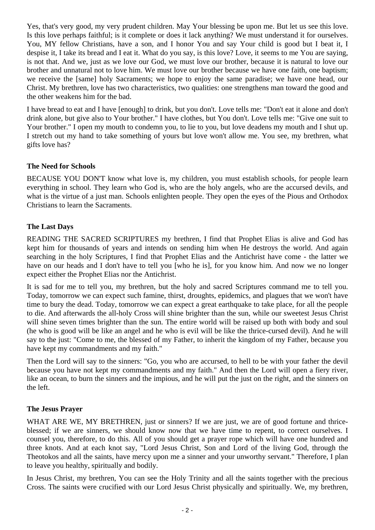Yes, that's very good, my very prudent children. May Your blessing be upon me. But let us see this love. Is this love perhaps faithful; is it complete or does it lack anything? We must understand it for ourselves. You, MY fellow Christians, have a son, and I honor You and say Your child is good but I beat it, I despise it, I take its bread and I eat it. What do you say, is this love? Love, it seems to me You are saying, is not that. And we, just as we love our God, we must love our brother, because it is natural to love our brother and unnatural not to love him. We must love our brother because we have one faith, one baptism; we receive the [same] holy Sacraments; we hope to enjoy the same paradise; we have one head, our Christ. My brethren, love has two characteristics, two qualities: one strengthens man toward the good and the other weakens him for the bad.

I have bread to eat and I have [enough] to drink, but you don't. Love tells me: "Don't eat it alone and don't drink alone, but give also to Your brother." I have clothes, but You don't. Love tells me: "Give one suit to Your brother." I open my mouth to condemn you, to lie to you, but love deadens my mouth and I shut up. I stretch out my hand to take something of yours but love won't allow me. You see, my brethren, what gifts love has?

## **The Need for Schools**

BECAUSE YOU DON'T know what love is, my children, you must establish schools, for people learn everything in school. They learn who God is, who are the holy angels, who are the accursed devils, and what is the virtue of a just man. Schools enlighten people. They open the eyes of the Pious and Orthodox Christians to learn the Sacraments.

## **The Last Days**

READING THE SACRED SCRIPTURES my brethren, I find that Prophet Elias is alive and God has kept him for thousands of years and intends on sending him when He destroys the world. And again searching in the holy Scriptures, I find that Prophet Elias and the Antichrist have come - the latter we have on our heads and I don't have to tell you [who he is], for you know him. And now we no longer expect either the Prophet Elias nor the Antichrist.

It is sad for me to tell you, my brethren, but the holy and sacred Scriptures command me to tell you. Today, tomorrow we can expect such famine, thirst, droughts, epidemics, and plagues that we won't have time to bury the dead. Today, tomorrow we can expect a great earthquake to take place, for all the people to die. And afterwards the all-holy Cross will shine brighter than the sun, while our sweetest Jesus Christ will shine seven times brighter than the sun. The entire world will be raised up both with body and soul (he who is good will be like an angel and he who is evil will be like the thrice-cursed devil). And he will say to the just: "Come to me, the blessed of my Father, to inherit the kingdom of my Father, because you have kept my commandments and my faith."

Then the Lord will say to the sinners: "Go, you who are accursed, to hell to be with your father the devil because you have not kept my commandments and my faith." And then the Lord will open a fiery river, like an ocean, to burn the sinners and the impious, and he will put the just on the right, and the sinners on the left.

## **The Jesus Prayer**

WHAT ARE WE, MY BRETHREN, just or sinners? If we are just, we are of good fortune and thriceblessed; if we are sinners, we should know now that we have time to repent, to correct ourselves. I counsel you, therefore, to do this. All of you should get a prayer rope which will have one hundred and three knots. And at each knot say, "Lord Jesus Christ, Son and Lord of the living God, through the Theotokos and all the saints, have mercy upon me a sinner and your unworthy servant." Therefore, I plan to leave you healthy, spiritually and bodily.

In Jesus Christ, my brethren, You can see the Holy Trinity and all the saints together with the precious Cross. The saints were crucified with our Lord Jesus Christ physically and spiritually. We, my brethren,